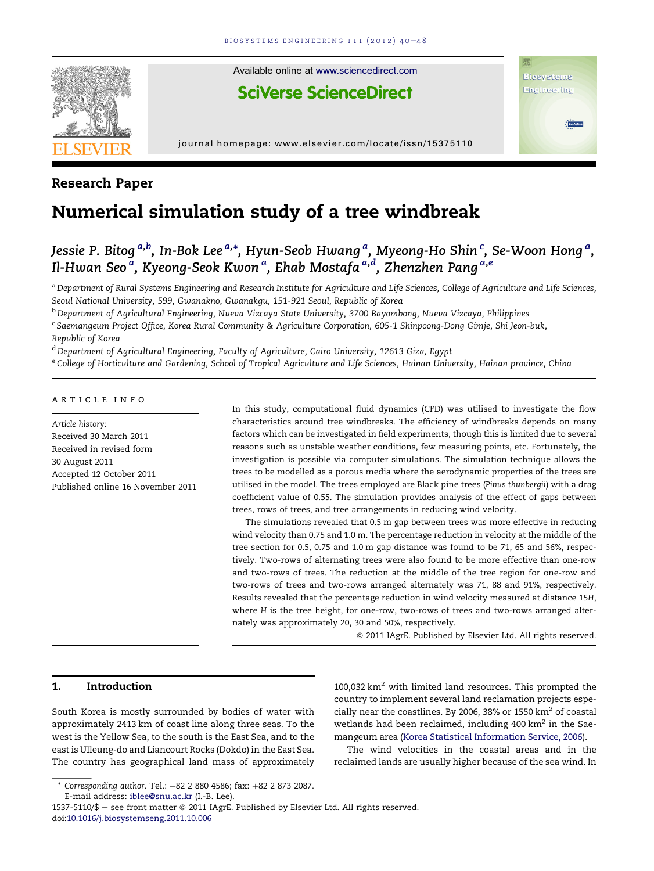

### Research Paper

# Numerical simulation study of a tree windbreak

## Jessie P. Bitog <sup>a,b</sup>, In-Bok Lee <sup>a,</sup>\*, Hyun-Seob Hwang <sup>a</sup>, Myeong-Ho Shin <sup>c</sup>, Se-Woon Hong <sup>a</sup>, Il-Hwan Seo<sup>a</sup>, Kyeong-Seok Kwon<sup>a</sup>, Ehab Mostafa<sup>a,d</sup>, Zhenzhen Pang<sup>a,e</sup>

a Department of Rural Systems Engineering and Research Institute for Agriculture and Life Sciences, College of Agriculture and Life Sciences, Seoul National University, 599, Gwanakno, Gwanakgu, 151-921 Seoul, Republic of Korea

<sup>b</sup> Department of Agricultural Engineering, Nueva Vizcaya State University, 3700 Bayombong, Nueva Vizcaya, Philippines

<sup>c</sup> Saemangeum Project Office, Korea Rural Community & Agriculture Corporation, 605-1 Shinpoong-Dong Gimje, Shi Jeon-buk, Republic of Korea

<sup>d</sup> Department of Agricultural Engineering, Faculty of Agriculture, Cairo University, 12613 Giza, Egypt e College of Horticulture and Gardening, School of Tropical Agriculture and Life Sciences, Hainan University, Hainan province, China

#### article info

Article history: Received 30 March 2011 Received in revised form 30 August 2011 Accepted 12 October 2011 Published online 16 November 2011 In this study, computational fluid dynamics (CFD) was utilised to investigate the flow characteristics around tree windbreaks. The efficiency of windbreaks depends on many factors which can be investigated in field experiments, though this is limited due to several reasons such as unstable weather conditions, few measuring points, etc. Fortunately, the investigation is possible via computer simulations. The simulation technique allows the trees to be modelled as a porous media where the aerodynamic properties of the trees are utilised in the model. The trees employed are Black pine trees (Pinus thunbergii) with a drag coefficient value of 0.55. The simulation provides analysis of the effect of gaps between trees, rows of trees, and tree arrangements in reducing wind velocity.

The simulations revealed that 0.5 m gap between trees was more effective in reducing wind velocity than 0.75 and 1.0 m. The percentage reduction in velocity at the middle of the tree section for 0.5, 0.75 and 1.0 m gap distance was found to be 71, 65 and 56%, respectively. Two-rows of alternating trees were also found to be more effective than one-row and two-rows of trees. The reduction at the middle of the tree region for one-row and two-rows of trees and two-rows arranged alternately was 71, 88 and 91%, respectively. Results revealed that the percentage reduction in wind velocity measured at distance 15H, where H is the tree height, for one-row, two-rows of trees and two-rows arranged alternately was approximately 20, 30 and 50%, respectively.

ª 2011 IAgrE. Published by Elsevier Ltd. All rights reserved.

#### 1. Introduction

South Korea is mostly surrounded by bodies of water with approximately 2413 km of coast line along three seas. To the west is the Yellow Sea, to the south is the East Sea, and to the east is Ulleung-do and Liancourt Rocks (Dokdo) in the East Sea. The country has geographical land mass of approximately 100,032  $km^2$  with limited land resources. This prompted the country to implement several land reclamation projects especially near the coastlines. By 2006, 38% or 1550  $km^2$  of coastal wetlands had been reclaimed, including 400  $km^2$  in the Saemangeum area [\(Korea Statistical Information Service, 2006](#page--1-0)).

The wind velocities in the coastal areas and in the reclaimed lands are usually higher because of the sea wind. In

1537-5110/\$ - see front matter  $@$  2011 IAgrE. Published by Elsevier Ltd. All rights reserved. doi:[10.1016/j.biosystemseng.2011.10.006](http://dx.doi.org/10.1016/j.biosystemseng.2011.10.006)

 $*$  Corresponding author. Tel.:  $+82$  2 880 4586; fax:  $+82$  2 873 2087.

E-mail address: [iblee@snu.ac.kr](mailto:iblee@snu.ac.kr) (I.-B. Lee).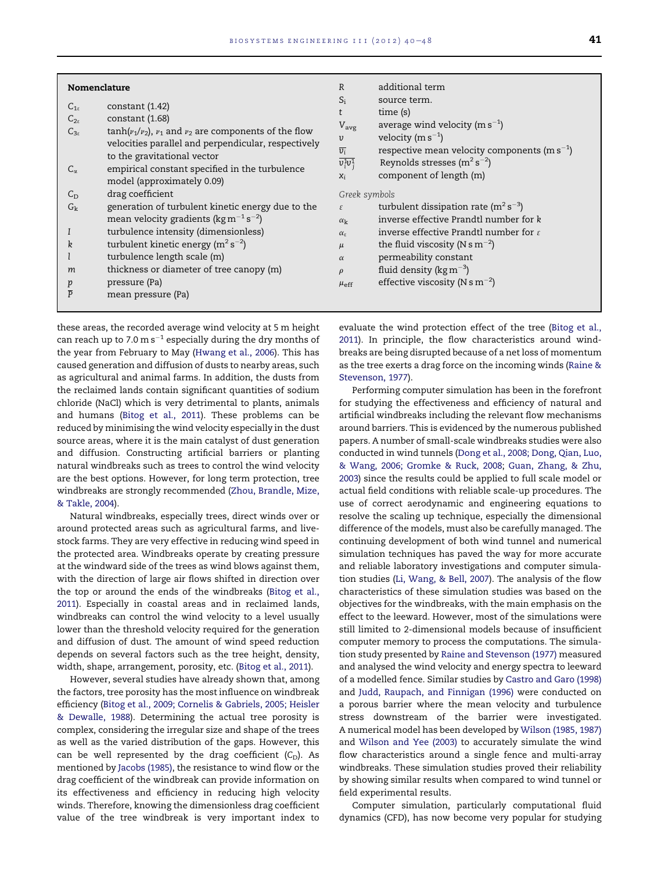| Nomenclature                                                                                                                                                                                                                                                                                                                | additional term<br>$\mathbb{R}$                                                                                                                                                                                                                                                                          |
|-----------------------------------------------------------------------------------------------------------------------------------------------------------------------------------------------------------------------------------------------------------------------------------------------------------------------------|----------------------------------------------------------------------------------------------------------------------------------------------------------------------------------------------------------------------------------------------------------------------------------------------------------|
| constant(1.42)<br>$C_{1s}$<br>constant (1.68)<br>$C_{2s}$<br>$tanh(v_1/v_2)$ , $v_1$ and $v_2$ are components of the flow<br>$C_{3s}$<br>velocities parallel and perpendicular, respectively<br>to the gravitational vector<br>empirical constant specified in the turbulence<br>$C_{\alpha}$<br>model (approximately 0.09) | $S_i$<br>source term.<br>time (s)<br>average wind velocity ( $m s^{-1}$ )<br>$V_{\text{avg}}$<br>velocity (m $s^{-1}$ )<br>υ<br>$\overline{v_i}$<br>respective mean velocity components (m $s^{-1}$ )<br>$\overline{v_i^1v_i^1}$<br>Reynolds stresses $(m^2 s^{-2})$<br>component of length (m)<br>$X_i$ |
| drag coefficient<br>$C_{\rm D}$                                                                                                                                                                                                                                                                                             | Greek symbols                                                                                                                                                                                                                                                                                            |
| generation of turbulent kinetic energy due to the<br>$G_{k}$<br>mean velocity gradients ( $\text{kg m}^{-1} \text{s}^{-2}$ )                                                                                                                                                                                                | turbulent dissipation rate ( $m^2 s^{-3}$ )<br>$\mathcal{E}$<br>inverse effective Prandtl number for k<br>$\alpha_{\bf k}$                                                                                                                                                                               |
| turbulence intensity (dimensionless)                                                                                                                                                                                                                                                                                        | inverse effective Prandtl number for $\varepsilon$<br>$\alpha_{s}$                                                                                                                                                                                                                                       |
| turbulent kinetic energy ( $m^2 s^{-2}$ )<br>k                                                                                                                                                                                                                                                                              | the fluid viscosity (N s $m^{-2}$ )<br>$\mu$                                                                                                                                                                                                                                                             |
| turbulence length scale (m)                                                                                                                                                                                                                                                                                                 | permeability constant<br>$\alpha$                                                                                                                                                                                                                                                                        |
| thickness or diameter of tree canopy (m)<br>m                                                                                                                                                                                                                                                                               | fluid density ( $\text{kg m}^{-3}$ )<br>$\rho$                                                                                                                                                                                                                                                           |
| pressure (Pa)<br>p<br>$\overline{P}$<br>mean pressure (Pa)                                                                                                                                                                                                                                                                  | effective viscosity (N s m <sup>-2</sup> )<br>$\mu_{\text{eff}}$                                                                                                                                                                                                                                         |

these areas, the recorded average wind velocity at 5 m height can reach up to 7.0 m s $^{-1}$  especially during the dry months of the year from February to May [\(Hwang et al., 2006\)](#page--1-0). This has caused generation and diffusion of dusts to nearby areas, such as agricultural and animal farms. In addition, the dusts from the reclaimed lands contain significant quantities of sodium chloride (NaCl) which is very detrimental to plants, animals and humans ([Bitog et al., 2011\)](#page--1-0). These problems can be reduced by minimising the wind velocity especially in the dust source areas, where it is the main catalyst of dust generation and diffusion. Constructing artificial barriers or planting natural windbreaks such as trees to control the wind velocity are the best options. However, for long term protection, tree windbreaks are strongly recommended [\(Zhou, Brandle, Mize,](#page--1-0) [& Takle, 2004](#page--1-0)).

Natural windbreaks, especially trees, direct winds over or around protected areas such as agricultural farms, and livestock farms. They are very effective in reducing wind speed in the protected area. Windbreaks operate by creating pressure at the windward side of the trees as wind blows against them, with the direction of large air flows shifted in direction over the top or around the ends of the windbreaks [\(Bitog et al.,](#page--1-0) [2011](#page--1-0)). Especially in coastal areas and in reclaimed lands, windbreaks can control the wind velocity to a level usually lower than the threshold velocity required for the generation and diffusion of dust. The amount of wind speed reduction depends on several factors such as the tree height, density, width, shape, arrangement, porosity, etc. ([Bitog et al., 2011\)](#page--1-0).

However, several studies have already shown that, among the factors, tree porosity has the most influence on windbreak efficiency [\(Bitog et al., 2009; Cornelis & Gabriels, 2005; Heisler](#page--1-0) [& Dewalle, 1988\)](#page--1-0). Determining the actual tree porosity is complex, considering the irregular size and shape of the trees as well as the varied distribution of the gaps. However, this can be well represented by the drag coefficient  $(C_D)$ . As mentioned by [Jacobs \(1985\),](#page--1-0) the resistance to wind flow or the drag coefficient of the windbreak can provide information on its effectiveness and efficiency in reducing high velocity winds. Therefore, knowing the dimensionless drag coefficient value of the tree windbreak is very important index to

evaluate the wind protection effect of the tree ([Bitog et al.,](#page--1-0) [2011](#page--1-0)). In principle, the flow characteristics around windbreaks are being disrupted because of a net loss of momentum as the tree exerts a drag force on the incoming winds ([Raine &](#page--1-0) [Stevenson, 1977\)](#page--1-0).

Performing computer simulation has been in the forefront for studying the effectiveness and efficiency of natural and artificial windbreaks including the relevant flow mechanisms around barriers. This is evidenced by the numerous published papers. A number of small-scale windbreaks studies were also conducted in wind tunnels [\(Dong et al., 2008; Dong, Qian, Luo,](#page--1-0) [& Wang, 2006; Gromke & Ruck, 2008;](#page--1-0) [Guan, Zhang, & Zhu,](#page--1-0) [2003](#page--1-0)) since the results could be applied to full scale model or actual field conditions with reliable scale-up procedures. The use of correct aerodynamic and engineering equations to resolve the scaling up technique, especially the dimensional difference of the models, must also be carefully managed. The continuing development of both wind tunnel and numerical simulation techniques has paved the way for more accurate and reliable laboratory investigations and computer simulation studies [\(Li, Wang, & Bell, 2007\)](#page--1-0). The analysis of the flow characteristics of these simulation studies was based on the objectives for the windbreaks, with the main emphasis on the effect to the leeward. However, most of the simulations were still limited to 2-dimensional models because of insufficient computer memory to process the computations. The simulation study presented by [Raine and Stevenson \(1977\)](#page--1-0) measured and analysed the wind velocity and energy spectra to leeward of a modelled fence. Similar studies by [Castro and Garo \(1998\)](#page--1-0) and [Judd, Raupach, and Finnigan \(1996\)](#page--1-0) were conducted on a porous barrier where the mean velocity and turbulence stress downstream of the barrier were investigated. A numerical model has been developed by [Wilson \(1985, 1987\)](#page--1-0) and [Wilson and Yee \(2003\)](#page--1-0) to accurately simulate the wind flow characteristics around a single fence and multi-array windbreaks. These simulation studies proved their reliability by showing similar results when compared to wind tunnel or field experimental results.

Computer simulation, particularly computational fluid dynamics (CFD), has now become very popular for studying